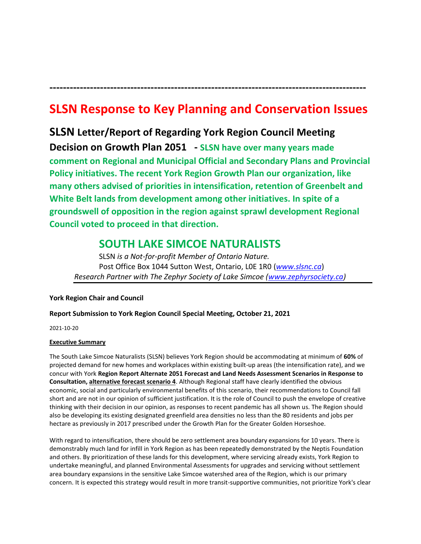# **SLSN Response to Key Planning and Conservation Issues**

**----------------------------------------------------------------------------------------------**

**SLSN Letter/Report of Regarding York Region Council Meeting Decision on Growth Plan 2051 - SLSN have over many years made comment on Regional and Municipal Official and Secondary Plans and Provincial Policy initiatives. The recent York Region Growth Plan our organization, like many others advised of priorities in intensification, retention of Greenbelt and White Belt lands from development among other initiatives. In spite of a groundswell of opposition in the region against sprawl development Regional Council voted to proceed in that direction.** 

# **SOUTH LAKE SIMCOE NATURALISTS**

SLSN *is a Not-for-profit Member of Ontario Nature.* Post Office Box 1044 Sutton West, Ontario, L0E 1R0 (*[www.slsnc.ca](http://www.slsnc.ca/)*) *Research Partner with The Zephyr Society of Lake Simcoe [\(www.zephyrsociety.ca\)](http://www.zephyrsociety.ca/)*

### **York Region Chair and Council**

## **Report Submission to York Region Council Special Meeting, October 21, 2021**

2021-10-20

### **Executive Summary**

The South Lake Simcoe Naturalists (SLSN) believes York Region should be accommodating at minimum of **60%** of projected demand for new homes and workplaces within existing built-up areas (the intensification rate), and we concur with York **Region Report Alternate 2051 Forecast and Land Needs Assessment Scenarios in Response to Consultation, alternative forecast scenario 4**. Although Regional staff have clearly identified the obvious economic, social and particularly environmental benefits of this scenario, their recommendations to Council fall short and are not in our opinion of sufficient justification. It is the role of Council to push the envelope of creative thinking with their decision in our opinion, as responses to recent pandemic has all shown us. The Region should also be developing its existing designated greenfield area densities no less than the 80 residents and jobs per hectare as previously in 2017 prescribed under the Growth Plan for the Greater Golden Horseshoe.

With regard to intensification, there should be zero settlement area boundary expansions for 10 years. There is demonstrably much land for infill in York Region as has been repeatedly demonstrated by the Neptis Foundation and others. By prioritization of these lands for this development, where servicing already exists, York Region to undertake meaningful, and planned Environmental Assessments for upgrades and servicing without settlement area boundary expansions in the sensitive Lake Simcoe watershed area of the Region, which is our primary concern. It is expected this strategy would result in more transit-supportive communities, not prioritize York's clear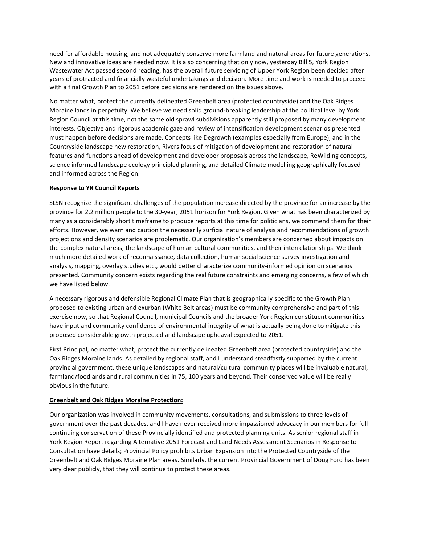need for affordable housing, and not adequately conserve more farmland and natural areas for future generations. New and innovative ideas are needed now. It is also concerning that only now, yesterday Bill 5, York Region Wastewater Act passed second reading, has the overall future servicing of Upper York Region been decided after years of protracted and financially wasteful undertakings and decision. More time and work is needed to proceed with a final Growth Plan to 2051 before decisions are rendered on the issues above.

No matter what, protect the currently delineated Greenbelt area (protected countryside) and the Oak Ridges Moraine lands in perpetuity. We believe we need solid ground-breaking leadership at the political level by York Region Council at this time, not the same old sprawl subdivisions apparently still proposed by many development interests. Objective and rigorous academic gaze and review of intensification development scenarios presented must happen before decisions are made. Concepts like Degrowth (examples especially from Europe), and in the Countryside landscape new restoration, Rivers focus of mitigation of development and restoration of natural features and functions ahead of development and developer proposals across the landscape, ReWilding concepts, science informed landscape ecology principled planning, and detailed Climate modelling geographically focused and informed across the Region.

#### **Response to YR Council Reports**

SLSN recognize the significant challenges of the population increase directed by the province for an increase by the province for 2.2 million people to the 30-year, 2051 horizon for York Region. Given what has been characterized by many as a considerably short timeframe to produce reports at this time for politicians, we commend them for their efforts. However, we warn and caution the necessarily surficial nature of analysis and recommendations of growth projections and density scenarios are problematic. Our organization's members are concerned about impacts on the complex natural areas, the landscape of human cultural communities, and their interrelationships. We think much more detailed work of reconnaissance, data collection, human social science survey investigation and analysis, mapping, overlay studies etc., would better characterize community-informed opinion on scenarios presented. Community concern exists regarding the real future constraints and emerging concerns, a few of which we have listed below.

A necessary rigorous and defensible Regional Climate Plan that is geographically specific to the Growth Plan proposed to existing urban and exurban (White Belt areas) must be community comprehensive and part of this exercise now, so that Regional Council, municipal Councils and the broader York Region constituent communities have input and community confidence of environmental integrity of what is actually being done to mitigate this proposed considerable growth projected and landscape upheaval expected to 2051.

First Principal, no matter what, protect the currently delineated Greenbelt area (protected countryside) and the Oak Ridges Moraine lands. As detailed by regional staff, and I understand steadfastly supported by the current provincial government, these unique landscapes and natural/cultural community places will be invaluable natural, farmland/foodlands and rural communities in 75, 100 years and beyond. Their conserved value will be really obvious in the future.

#### **Greenbelt and Oak Ridges Moraine Protection:**

Our organization was involved in community movements, consultations, and submissions to three levels of government over the past decades, and I have never received more impassioned advocacy in our members for full continuing conservation of these Provincially identified and protected planning units. As senior regional staff in York Region Report regarding Alternative 2051 Forecast and Land Needs Assessment Scenarios in Response to Consultation have details; Provincial Policy prohibits Urban Expansion into the Protected Countryside of the Greenbelt and Oak Ridges Moraine Plan areas. Similarly, the current Provincial Government of Doug Ford has been very clear publicly, that they will continue to protect these areas.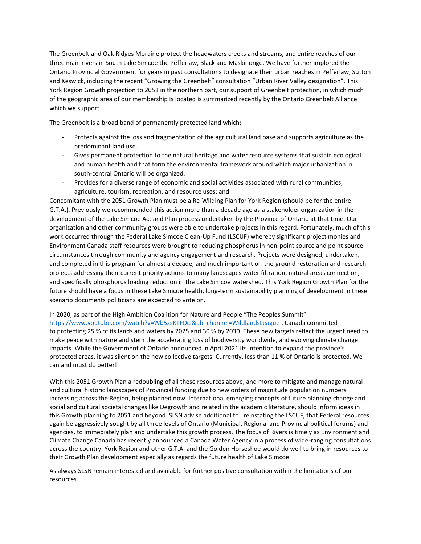The Greenbelt and Oak Ridges Moraine protect the headwaters creeks and streams, and entire reaches of our three main rivers in South Lake Simcoe the Pefferlaw, Black and Maskinonge. We have further implored the Ontario Provincial Government for years in past consultations to designate their urban reaches in Pefferlaw, Sutton and Keswick, including the recent "Growing the Greenbelt" consultation "Urban River Valley designation". This York Region Growth projection to 2051 in the northern part, our support of Greenbelt protection, in which much of the geographic area of our membership is located is summarized recently by the Ontario Greenbelt Alliance which we support.

The Greenbelt is a broad band of permanently protected land which:

- Protects against the loss and fragmentation of the agricultural land base and supports agriculture as the predominant land use.
- Gives permanent protection to the natural heritage and water resource systems that sustain ecological and human health and that form the environmental framework around which major urbanization in south-central Ontario will be organized.
- Provides for a diverse range of economic and social activities associated with rural communities, agriculture, tourism, recreation, and resource uses; and

Concomitant with the 2051 Growth Plan must be a Re-Wilding Plan for York Region (should be for the entire G.T.A.). Previously we recommended this action more than a decade ago as a stakeholder organization in the development of the Lake Simcoe Act and Plan process undertaken by the Province of Ontario at that time. Our organization and other community groups were able to undertake projects in this regard. Fortunately, much of this work occurred through the Federal Lake Simcoe Clean-Up Fund (LSCUF) whereby significant project monies and Environment Canada staff resources were brought to reducing phosphorus in non-point source and point source circumstances through community and agency engagement and research. Projects were designed, undertaken, and completed in this program for almost a decade, and much important on-the-ground restoration and research projects addressing then-current priority actions to many landscapes water filtration, natural areas connection, and specifically phosphorus loading reduction in the Lake Simcoe watershed. This York Region Growth Plan for the future should have a focus in these Lake Simcoe health, long-term sustainability planning of development in these scenario documents politicians are expected to vote on.

In 2020, as part of the High Ambition Coalition for Nature and People "The Peoples Summit" [https://www.youtube.com/watch?v=Wb5xsKTFDcI&ab\\_channel=WildlandsLeague](https://www.youtube.com/watch?v=Wb5xsKTFDcI&ab_channel=WildlandsLeague) , Canada committed to protecting 25 [% of its lands and waters by 2025 and 30 % by 2030.](https://ontarionature.org/30-by-2030/) These new targets reflect the urgent need to make [peace with nature](https://www.unep.org/resources/making-peace-nature) and stem the [accelerating loss of biodiversity](https://ontarionature.org/its-up-to-us-now/) worldwide, and evolving climate change impacts. While the Government of Ontario announced in April 2021 its intention to [expand the province's](https://news.ontario.ca/en/release/60977/ontario-working-with-conservation-experts-to-protect-more-natural-areas)  [protected areas,](https://news.ontario.ca/en/release/60977/ontario-working-with-conservation-experts-to-protect-more-natural-areas) it was silent on the new collective targets. Currently, less than 11 % of Ontario is protected. We can and must do better!

With this 2051 Growth Plan a redoubling of all these resources above, and more to mitigate and manage natural and cultural historic landscapes of Provincial funding due to new orders of magnitude population numbers increasing across the Region, being planned now. International emerging concepts of future planning change and social and cultural societal changes like Degrowth and related in the academic literature, should inform ideas in this Growth planning to 2051 and beyond. SLSN advise additional to reinstating the LSCUF, that Federal resources again be aggressively sought by all three levels of Ontario (Municipal, Regional and Provincial political forums) and agencies, to immediately plan and undertake this growth process. The focus of Rivers is timely as Environment and Climate Change Canada has recently announced a Canada Water Agency in a process of wide-ranging consultations across the country. York Region and other G.T.A. and the Golden Horseshoe would do well to bring in resources to their Growth Plan development especially as regards the future health of Lake Simcoe.

As always SLSN remain interested and available for further positive consultation within the limitations of our resources.